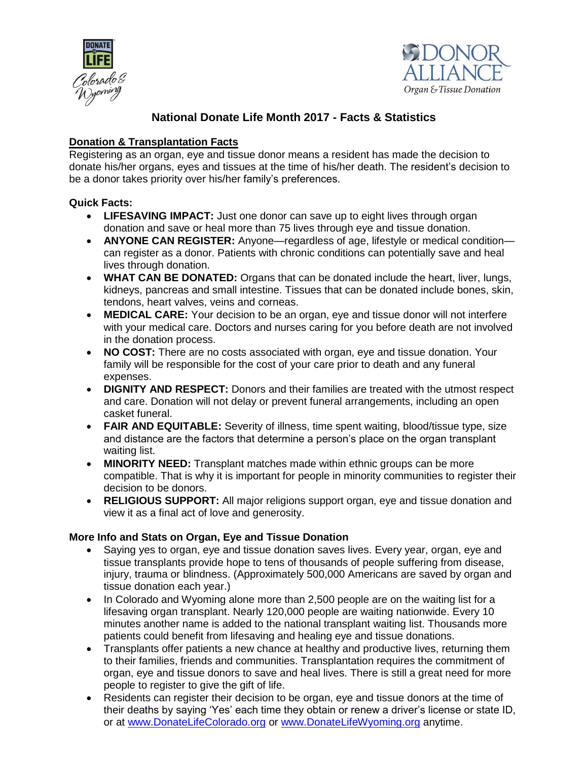



# **National Donate Life Month 2017 - Facts & Statistics**

## **Donation & Transplantation Facts**

Registering as an organ, eye and tissue donor means a resident has made the decision to donate his/her organs, eyes and tissues at the time of his/her death. The resident's decision to be a donor takes priority over his/her family's preferences.

## **Quick Facts:**

- **LIFESAVING IMPACT:** Just one donor can save up to eight lives through organ donation and save or heal more than 75 lives through eye and tissue donation.
- **ANYONE CAN REGISTER:** Anyone—regardless of age, lifestyle or medical condition can register as a donor. Patients with chronic conditions can potentially save and heal lives through donation.
- **WHAT CAN BE DONATED:** Organs that can be donated include the heart, liver, lungs, kidneys, pancreas and small intestine. Tissues that can be donated include bones, skin, tendons, heart valves, veins and corneas.
- **MEDICAL CARE:** Your decision to be an organ, eye and tissue donor will not interfere with your medical care. Doctors and nurses caring for you before death are not involved in the donation process.
- **NO COST:** There are no costs associated with organ, eye and tissue donation. Your family will be responsible for the cost of your care prior to death and any funeral expenses.
- **DIGNITY AND RESPECT:** Donors and their families are treated with the utmost respect and care. Donation will not delay or prevent funeral arrangements, including an open casket funeral.
- **FAIR AND EQUITABLE:** Severity of illness, time spent waiting, blood/tissue type, size and distance are the factors that determine a person's place on the organ transplant waiting list.
- **MINORITY NEED:** Transplant matches made within ethnic groups can be more compatible. That is why it is important for people in minority communities to register their decision to be donors.
- **RELIGIOUS SUPPORT:** All major religions support organ, eye and tissue donation and view it as a final act of love and generosity.

## **More Info and Stats on Organ, Eye and Tissue Donation**

- Saying yes to organ, eye and tissue donation saves lives. Every year, organ, eye and tissue transplants provide hope to tens of thousands of people suffering from disease, injury, trauma or blindness. (Approximately 500,000 Americans are saved by organ and tissue donation each year.)
- In Colorado and Wyoming alone more than 2,500 people are on the waiting list for a lifesaving organ transplant. Nearly 120,000 people are waiting nationwide. Every 10 minutes another name is added to the national transplant waiting list. Thousands more patients could benefit from lifesaving and healing eye and tissue donations.
- Transplants offer patients a new chance at healthy and productive lives, returning them to their families, friends and communities. Transplantation requires the commitment of organ, eye and tissue donors to save and heal lives. There is still a great need for more people to register to give the gift of life.
- Residents can register their decision to be organ, eye and tissue donors at the time of their deaths by saying 'Yes' each time they obtain or renew a driver's license or state ID, or at [www.DonateLifeColorado.org](http://www.donatelifecolorado.org/) or [www.DonateLifeWyoming.org](http://www.donatelifewyoming.org/) anytime.